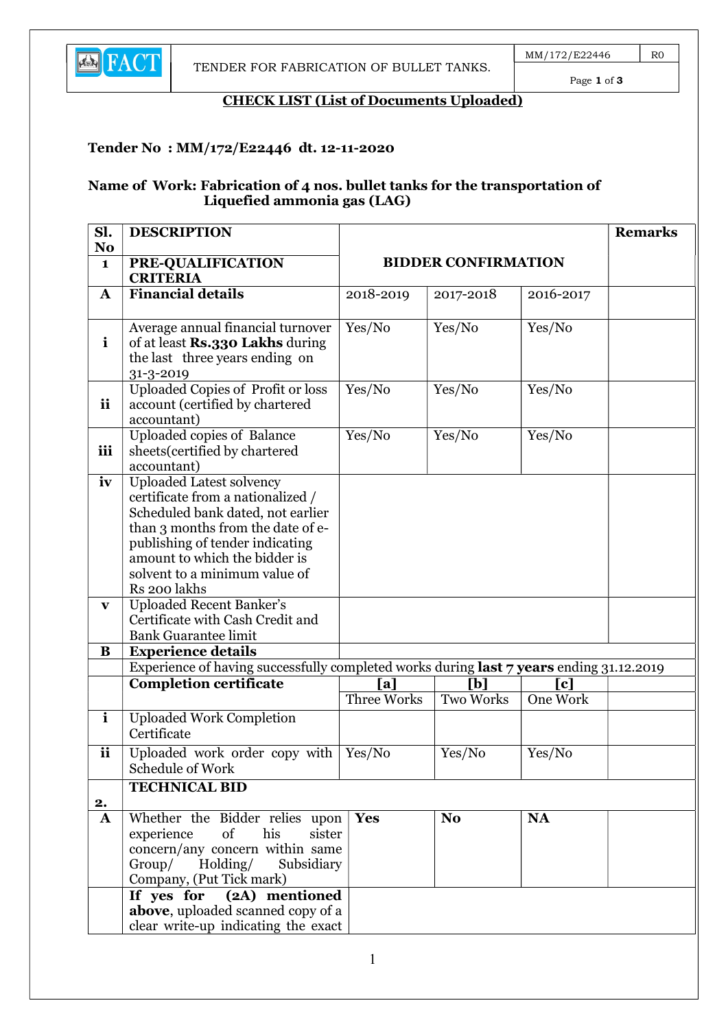

Page 1 of 3

## CHECK LIST (List of Documents Uploaded)

### Tender No : MM/172/E22446 dt. 12-11-2020

#### Name of Work: Fabrication of 4 nos. bullet tanks for the transportation of Liquefied ammonia gas (LAG)

| Sl.<br>N <sub>o</sub> | <b>DESCRIPTION</b>                                                                                                                                                                                                                                                  |                                                                                                       |                  |           | <b>Remarks</b> |
|-----------------------|---------------------------------------------------------------------------------------------------------------------------------------------------------------------------------------------------------------------------------------------------------------------|-------------------------------------------------------------------------------------------------------|------------------|-----------|----------------|
| $\mathbf{1}$          | PRE-QUALIFICATION<br><b>CRITERIA</b>                                                                                                                                                                                                                                | <b>BIDDER CONFIRMATION</b>                                                                            |                  |           |                |
| A                     | Financial details                                                                                                                                                                                                                                                   | 2018-2019                                                                                             | 2017-2018        | 2016-2017 |                |
| $\mathbf{i}$          | Average annual financial turnover<br>of at least Rs.330 Lakhs during<br>the last three years ending on<br>31-3-2019                                                                                                                                                 | Yes/No                                                                                                | Yes/No           | Yes/No    |                |
| <i>ii</i>             | Uploaded Copies of Profit or loss<br>account (certified by chartered<br>accountant)                                                                                                                                                                                 | Yes/No                                                                                                | Yes/No           | Yes/No    |                |
| iii                   | Uploaded copies of Balance<br>sheets (certified by chartered<br>accountant)                                                                                                                                                                                         | Yes/No                                                                                                | Yes/No           | Yes/No    |                |
| iv                    | <b>Uploaded Latest solvency</b><br>certificate from a nationalized /<br>Scheduled bank dated, not earlier<br>than 3 months from the date of e-<br>publishing of tender indicating<br>amount to which the bidder is<br>solvent to a minimum value of<br>Rs 200 lakhs |                                                                                                       |                  |           |                |
| $\mathbf{V}$          | <b>Uploaded Recent Banker's</b><br>Certificate with Cash Credit and<br><b>Bank Guarantee limit</b>                                                                                                                                                                  |                                                                                                       |                  |           |                |
| B                     | <b>Experience details</b>                                                                                                                                                                                                                                           |                                                                                                       |                  |           |                |
|                       | <b>Completion certificate</b>                                                                                                                                                                                                                                       | Experience of having successfully completed works during last 7 years ending 31.12.2019<br>[b]<br>[a] |                  | [c]       |                |
|                       |                                                                                                                                                                                                                                                                     | Three Works                                                                                           | <b>Two Works</b> | One Work  |                |
| $\mathbf{i}$          | <b>Uploaded Work Completion</b><br>Certificate                                                                                                                                                                                                                      |                                                                                                       |                  |           |                |
| ii                    | Uploaded work order copy with<br>Schedule of Work                                                                                                                                                                                                                   | Yes/No                                                                                                | Yes/No           | Yes/No    |                |
|                       | <b>TECHNICAL BID</b>                                                                                                                                                                                                                                                |                                                                                                       |                  |           |                |
| 2.<br>$\mathbf{A}$    | Whether the Bidder relies upon                                                                                                                                                                                                                                      | Yes                                                                                                   | N <sub>o</sub>   | <b>NA</b> |                |
|                       | his<br>of<br>experience<br>sister<br>concern/any concern within same<br>Group/ Holding/<br>Subsidiary<br>Company, (Put Tick mark)                                                                                                                                   |                                                                                                       |                  |           |                |
|                       | (2A) mentioned<br>If yes for<br>above, uploaded scanned copy of a<br>clear write-up indicating the exact                                                                                                                                                            |                                                                                                       |                  |           |                |

1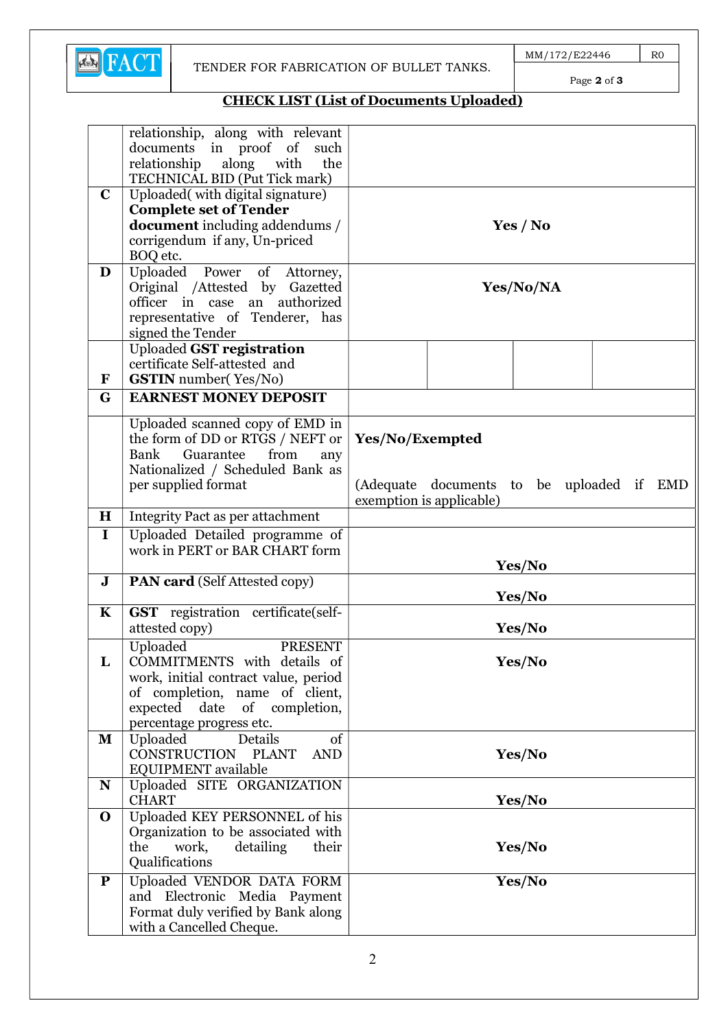

Page 2 of 3

# CHECK LIST (List of Documents Uploaded)

|             | relationship, along with relevant     |                                              |  |  |
|-------------|---------------------------------------|----------------------------------------------|--|--|
|             | documents in proof<br>of<br>such      |                                              |  |  |
|             | relationship<br>along<br>with<br>the  |                                              |  |  |
|             | TECHNICAL BID (Put Tick mark)         |                                              |  |  |
| $\mathbf C$ | Uploaded(with digital signature)      |                                              |  |  |
|             | <b>Complete set of Tender</b>         |                                              |  |  |
|             | <b>document</b> including addendums / | Yes / No                                     |  |  |
|             | corrigendum if any, Un-priced         |                                              |  |  |
|             |                                       |                                              |  |  |
|             | BOQ etc.                              |                                              |  |  |
| D           | Uploaded Power of Attorney,           |                                              |  |  |
|             | Original /Attested by Gazetted        | Yes/No/NA                                    |  |  |
|             | officer in case<br>an authorized      |                                              |  |  |
|             | representative of Tenderer, has       |                                              |  |  |
|             | signed the Tender                     |                                              |  |  |
|             | <b>Uploaded GST registration</b>      |                                              |  |  |
|             | certificate Self-attested and         |                                              |  |  |
| ${\bf F}$   | <b>GSTIN</b> number(Yes/No)           |                                              |  |  |
| G           | <b>EARNEST MONEY DEPOSIT</b>          |                                              |  |  |
|             |                                       |                                              |  |  |
|             | Uploaded scanned copy of EMD in       |                                              |  |  |
|             | the form of DD or RTGS / NEFT or      | Yes/No/Exempted                              |  |  |
|             | Bank<br>Guarantee<br>from<br>any      |                                              |  |  |
|             | Nationalized / Scheduled Bank as      |                                              |  |  |
|             |                                       |                                              |  |  |
|             | per supplied format                   | (Adequate documents to be uploaded if<br>EMD |  |  |
|             |                                       | exemption is applicable)                     |  |  |
| $\mathbf H$ | Integrity Pact as per attachment      |                                              |  |  |
| $\mathbf I$ | Uploaded Detailed programme of        |                                              |  |  |
|             | work in PERT or BAR CHART form        |                                              |  |  |
|             |                                       | Yes/No                                       |  |  |
| ${\bf J}$   | <b>PAN card</b> (Self Attested copy)  |                                              |  |  |
|             |                                       | Yes/No                                       |  |  |
| $\mathbf K$ | GST registration certificate(self-    |                                              |  |  |
|             | attested copy)                        | Yes/No                                       |  |  |
|             | Uploaded<br><b>PRESENT</b>            |                                              |  |  |
| L           | COMMITMENTS with details of           | Yes/No                                       |  |  |
|             |                                       |                                              |  |  |
|             | work, initial contract value, period  |                                              |  |  |
|             | of completion, name of client,        |                                              |  |  |
|             | expected date of completion,          |                                              |  |  |
|             | percentage progress etc.              |                                              |  |  |
| ${\bf M}$   | Uploaded<br><b>Details</b><br>of      |                                              |  |  |
|             | CONSTRUCTION PLANT<br><b>AND</b>      | Yes/No                                       |  |  |
|             | EQUIPMENT available                   |                                              |  |  |
| N           | Uploaded SITE ORGANIZATION            |                                              |  |  |
|             | <b>CHART</b>                          | Yes/No                                       |  |  |
| $\mathbf 0$ | Uploaded KEY PERSONNEL of his         |                                              |  |  |
|             | Organization to be associated with    |                                              |  |  |
|             | the<br>work,<br>detailing<br>their    | Yes/No                                       |  |  |
|             | Qualifications                        |                                              |  |  |
|             |                                       |                                              |  |  |
| ${\bf P}$   | Uploaded VENDOR DATA FORM             | Yes/No                                       |  |  |
|             | and Electronic Media Payment          |                                              |  |  |
|             | Format duly verified by Bank along    |                                              |  |  |
|             | with a Cancelled Cheque.              |                                              |  |  |
|             |                                       |                                              |  |  |